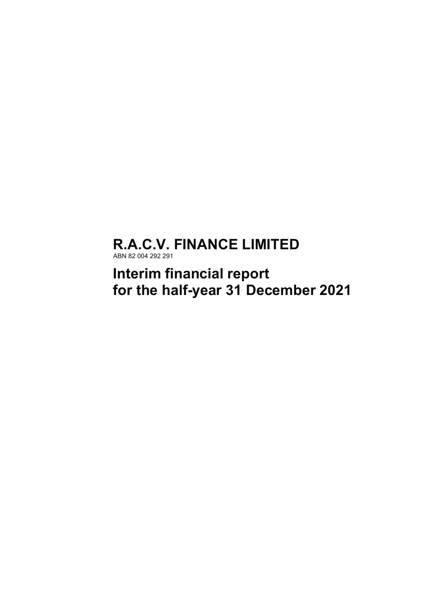# **R.A.C.V. FINANCE LIMITED**

ABN 82 004 292 291

**Interim financial report for the half-year 31 December 2021**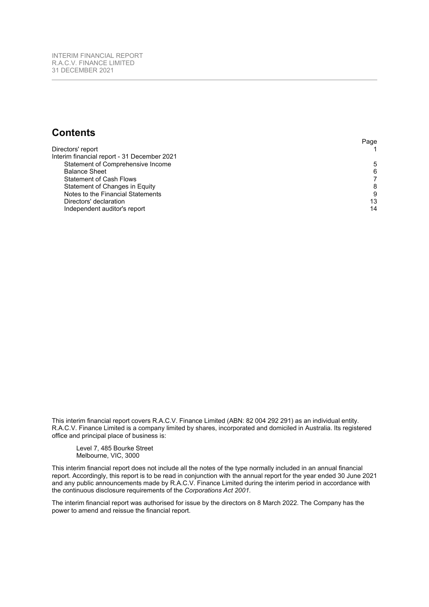# **Contents**

|                                             | Page |
|---------------------------------------------|------|
| Directors' report                           |      |
| Interim financial report - 31 December 2021 |      |
| Statement of Comprehensive Income           | 5    |
| <b>Balance Sheet</b>                        | 6    |
| <b>Statement of Cash Flows</b>              |      |
| Statement of Changes in Equity              | 8    |
| Notes to the Financial Statements           | 9    |
| Directors' declaration                      | 13   |
| Independent auditor's report                | 14   |

This interim financial report covers R.A.C.V. Finance Limited (ABN: 82 004 292 291) as an individual entity. R.A.C.V. Finance Limited is a company limited by shares, incorporated and domiciled in Australia. Its registered office and principal place of business is:

Level 7, 485 Bourke Street Melbourne, VIC, 3000

This interim financial report does not include all the notes of the type normally included in an annual financial report. Accordingly, this report is to be read in conjunction with the annual report for the year ended 30 June 2021 and any public announcements made by R.A.C.V. Finance Limited during the interim period in accordance with the continuous disclosure requirements of the *Corporations Act 2001.*

The interim financial report was authorised for issue by the directors on 8 March 2022. The Company has the power to amend and reissue the financial report.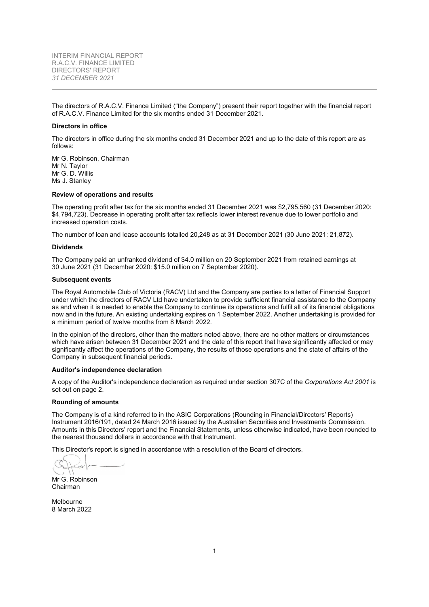<span id="page-2-0"></span>The directors of R.A.C.V. Finance Limited ("the Company") present their report together with the financial report of R.A.C.V. Finance Limited for the six months ended 31 December 2021.

#### **Directors in office**

The directors in office during the six months ended 31 December 2021 and up to the date of this report are as follows:

Mr G. Robinson, Chairman Mr N. Taylor Mr G. D. Willis Ms J. Stanley

#### **Review of operations and results**

The operating profit after tax for the six months ended 31 December 2021 was \$2,795,560 (31 December 2020: \$4,794,723). Decrease in operating profit after tax reflects lower interest revenue due to lower portfolio and increased operation costs.

The number of loan and lease accounts totalled 20,248 as at 31 December 2021 (30 June 2021: 21,872).

#### **Dividends**

The Company paid an unfranked dividend of \$4.0 million on 20 September 2021 from retained earnings at 30 June 2021 (31 December 2020: \$15.0 million on 7 September 2020).

#### **Subsequent events**

The Royal Automobile Club of Victoria (RACV) Ltd and the Company are parties to a letter of Financial Support under which the directors of RACV Ltd have undertaken to provide sufficient financial assistance to the Company as and when it is needed to enable the Company to continue its operations and fulfil all of its financial obligations now and in the future. An existing undertaking expires on 1 September 2022. Another undertaking is provided for a minimum period of twelve months from 8 March 2022.

In the opinion of the directors, other than the matters noted above, there are no other matters or circumstances which have arisen between 31 December 2021 and the date of this report that have significantly affected or may significantly affect the operations of the Company, the results of those operations and the state of affairs of the Company in subsequent financial periods.

#### <span id="page-2-1"></span>**Auditor's independence declaration**

A copy of the Auditor's independence declaration as required under section 307C of the *Corporations Act 2001* is set out on page [2.](#page-2-1)

#### **Rounding of amounts**

The Company is of a kind referred to in the ASIC Corporations (Rounding in Financial/Directors' Reports) Instrument 2016/191, dated 24 March 2016 issued by the Australian Securities and Investments Commission. Amounts in this Directors' report and the Financial Statements, unless otherwise indicated, have been rounded to the nearest thousand dollars in accordance with that Instrument.

This Director's report is signed in accordance with a resolution of the Board of directors.

Mr G. Robinson Chairman

Melbourne 8 March 2022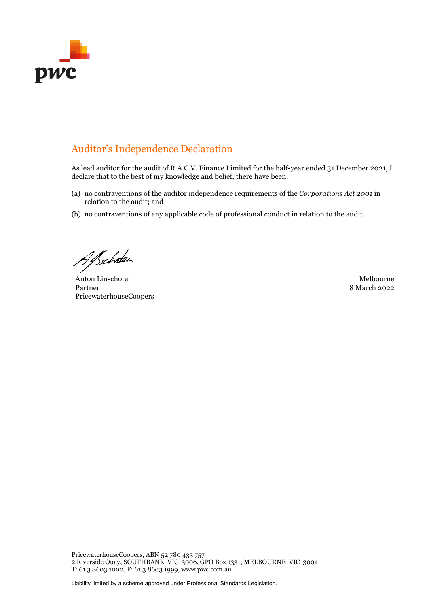

# Auditor's Independence Declaration

As lead auditor for the audit of R.A.C.V. Finance Limited for the half-year ended 31 December 2021, I declare that to the best of my knowledge and belief, there have been:

- (a) no contraventions of the auditor independence requirements of the *Corporations Act 2001* in relation to the audit; and
- (b) no contraventions of any applicable code of professional conduct in relation to the audit.

Alschoten

Anton Linschoten Melbourne Partner PricewaterhouseCoopers

8 March 2022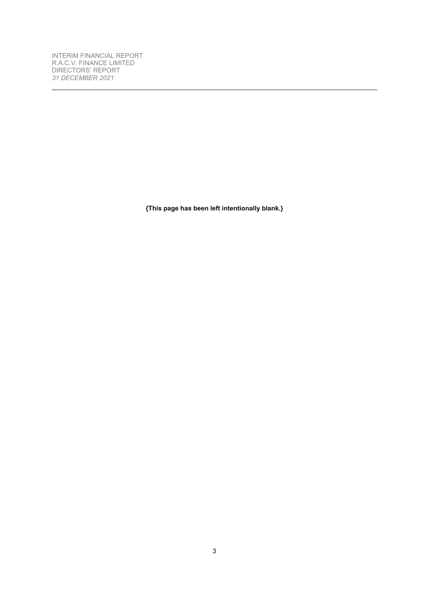**{This page has been left intentionally blank.}**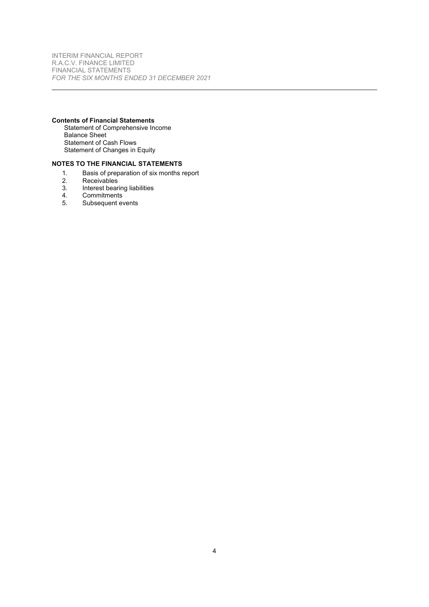INTERIM FINANCIAL REPORT R.A.C.V. FINANCE LIMITED FINANCIAL STATEMENTS *FOR THE SIX MONTHS ENDED 31 DECEMBER 2021*

#### **Contents of Financial Statements**

Statement of Comprehensive Income Balance Sheet Statement of Cash Flows Statement of Changes in Equity

# **NOTES TO THE FINANCIAL STATEMENTS**

- [1](#page-10-0). Basis of preparation of six months report<br>2. Receivables
- [2](#page-10-1). Receivables<br>3. Interest bear
- [3](#page-11-0). Interest bearing liabilities<br>4. Commitments
- [4](#page-13-0). Commitments<br>5. Subsequent ev
- Subsequent events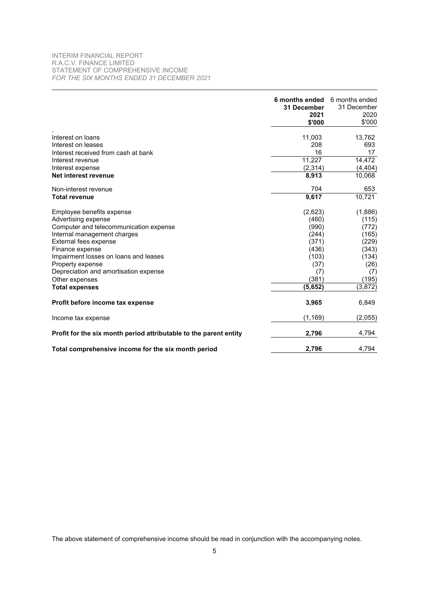#### INTERIM FINANCIAL REPORT R.A.C.V. FINANCE LIMITED STATEMENT OF COMPREHENSIVE INCOME *FOR THE SIX MONTHS ENDED 31 DECEMBER 2021*

<span id="page-6-0"></span>

|                                                                   | 6 months ended<br>31 December<br>2021<br>\$'000 | 6 months ended<br>31 December<br>2020<br>\$'000 |
|-------------------------------------------------------------------|-------------------------------------------------|-------------------------------------------------|
| Interest on loans                                                 | 11,003                                          | 13,762                                          |
| Interest on leases                                                | 208                                             | 693                                             |
| Interest received from cash at bank                               | 16                                              | 17                                              |
| Interest revenue                                                  | 11,227                                          | 14,472                                          |
| Interest expense                                                  | (2, 314)                                        | (4, 404)                                        |
| Net interest revenue                                              | 8,913                                           | 10,068                                          |
| Non-interest revenue                                              | 704                                             | 653                                             |
| <b>Total revenue</b>                                              | 9,617                                           | 10,721                                          |
| Employee benefits expense                                         | (2,623)                                         | (1,886)                                         |
| Advertising expense                                               | (460)                                           | (115)                                           |
| Computer and telecommunication expense                            | (990)                                           | (772)                                           |
| Internal management charges                                       | (244)                                           | (165)                                           |
| External fees expense                                             | (371)                                           | (229)                                           |
| Finance expense                                                   | (436)                                           | (343)                                           |
| Impairment losses on loans and leases                             | (103)                                           | (134)                                           |
| Property expense                                                  | (37)                                            | (26)                                            |
| Depreciation and amortisation expense                             | (7)                                             | (7)                                             |
| Other expenses                                                    | (381)                                           | (195)                                           |
| <b>Total expenses</b>                                             | (5,652)                                         | (3,872)                                         |
| Profit before income tax expense                                  | 3,965                                           | 6,849                                           |
| Income tax expense                                                | (1, 169)                                        | (2,055)                                         |
| Profit for the six month period attributable to the parent entity | 2,796                                           | 4,794                                           |
| Total comprehensive income for the six month period               | 2,796                                           | 4,794                                           |

The above statement of comprehensive income should be read in conjunction with the accompanying notes.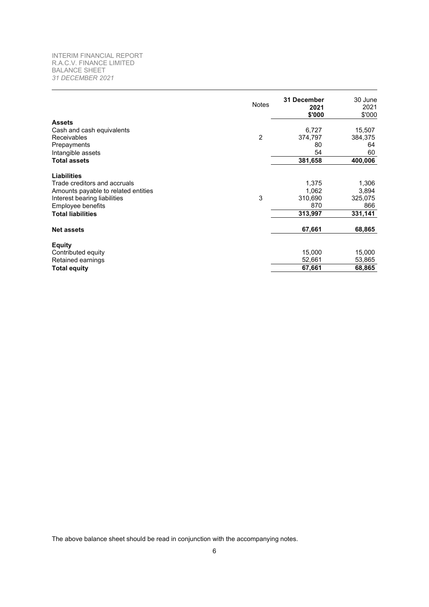INTERIM FINANCIAL REPORT R.A.C.V. FINANCE LIMITED BALANCE SHEET *31 DECEMBER 2021*

<span id="page-7-0"></span>

|                                     | <b>Notes</b>   | 31 December<br>2021<br>\$'000 | 30 June<br>2021<br>\$'000 |
|-------------------------------------|----------------|-------------------------------|---------------------------|
| <b>Assets</b>                       |                |                               |                           |
| Cash and cash equivalents           |                | 6,727                         | 15,507                    |
| <b>Receivables</b>                  | $\overline{2}$ | 374,797                       | 384,375                   |
| Prepayments                         |                | 80                            | 64                        |
| Intangible assets                   |                | 54                            | 60                        |
| <b>Total assets</b>                 |                | 381,658                       | 400,006                   |
| <b>Liabilities</b>                  |                |                               |                           |
| Trade creditors and accruals        |                | 1,375                         | 1,306                     |
| Amounts payable to related entities |                | 1,062                         | 3,894                     |
| Interest bearing liabilities        | 3              | 310,690                       | 325,075                   |
| Employee benefits                   |                | 870                           | 866                       |
| <b>Total liabilities</b>            |                | 313,997                       | 331,141                   |
| <b>Net assets</b>                   |                | 67,661                        | 68,865                    |
| <b>Equity</b>                       |                |                               |                           |
| Contributed equity                  |                | 15,000                        | 15,000                    |
| Retained earnings                   |                | 52,661                        | 53,865                    |
| <b>Total equity</b>                 |                | 67,661                        | 68,865                    |

The above balance sheet should be read in conjunction with the accompanying notes.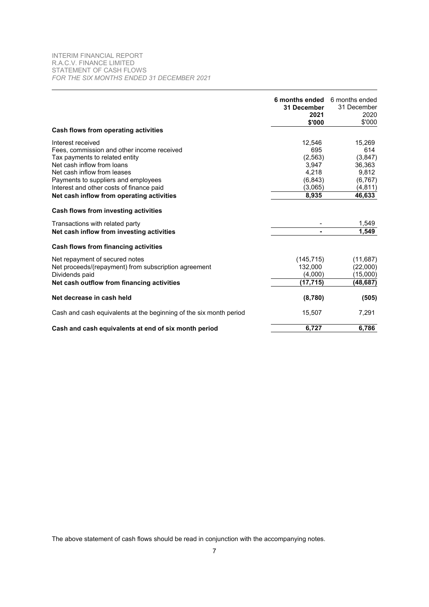<span id="page-8-0"></span>

|                                                                    | 6 months ended<br>31 December<br>2021<br>\$'000 | 6 months ended<br>31 December<br>2020<br>\$'000 |
|--------------------------------------------------------------------|-------------------------------------------------|-------------------------------------------------|
| Cash flows from operating activities                               |                                                 |                                                 |
| Interest received                                                  | 12,546                                          | 15,269                                          |
| Fees, commission and other income received                         | 695                                             | 614                                             |
| Tax payments to related entity                                     | (2,563)                                         | (3, 847)                                        |
| Net cash inflow from loans                                         | 3,947                                           | 36,363                                          |
| Net cash inflow from leases                                        | 4,218                                           | 9,812                                           |
| Payments to suppliers and employees                                | (6, 843)                                        | (6, 767)                                        |
| Interest and other costs of finance paid                           | (3,065)                                         | (4, 811)                                        |
| Net cash inflow from operating activities                          | 8,935                                           | 46,633                                          |
| Cash flows from investing activities                               |                                                 |                                                 |
| Transactions with related party                                    |                                                 | 1,549                                           |
| Net cash inflow from investing activities                          |                                                 | 1,549                                           |
| Cash flows from financing activities                               |                                                 |                                                 |
| Net repayment of secured notes                                     | (145, 715)                                      | (11, 687)                                       |
| Net proceeds/(repayment) from subscription agreement               | 132,000                                         | (22,000)                                        |
| Dividends paid                                                     | (4,000)                                         | (15,000)                                        |
| Net cash outflow from financing activities                         | (17, 715)                                       | (48, 687)                                       |
| Net decrease in cash held                                          | (8,780)                                         | (505)                                           |
| Cash and cash equivalents at the beginning of the six month period | 15,507                                          | 7,291                                           |
| Cash and cash equivalents at end of six month period               | 6,727                                           | 6,786                                           |
|                                                                    |                                                 |                                                 |

The above statement of cash flows should be read in conjunction with the accompanying notes.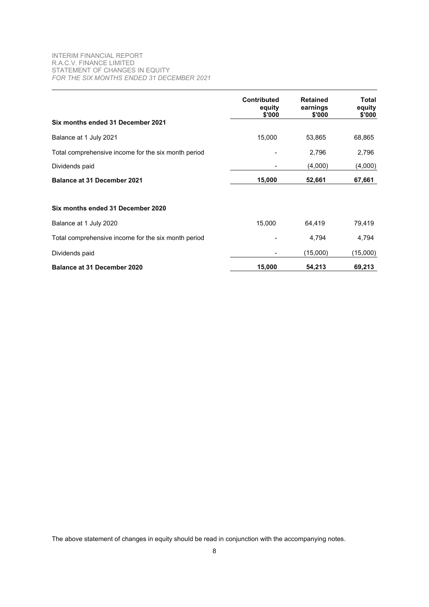<span id="page-9-0"></span>

|                                                     | <b>Contributed</b><br>equity<br>\$'000 | <b>Retained</b><br>earnings<br>\$'000 | <b>Total</b><br>equity<br>\$'000 |
|-----------------------------------------------------|----------------------------------------|---------------------------------------|----------------------------------|
| Six months ended 31 December 2021                   |                                        |                                       |                                  |
| Balance at 1 July 2021                              | 15,000                                 | 53,865                                | 68,865                           |
| Total comprehensive income for the six month period |                                        | 2,796                                 | 2,796                            |
| Dividends paid                                      |                                        | (4,000)                               | (4,000)                          |
| <b>Balance at 31 December 2021</b>                  | 15,000                                 | 52,661                                | 67,661                           |
| Six months ended 31 December 2020                   |                                        |                                       |                                  |
| Balance at 1 July 2020                              | 15,000                                 | 64,419                                | 79,419                           |
| Total comprehensive income for the six month period |                                        | 4,794                                 | 4,794                            |
| Dividends paid                                      |                                        | (15,000)                              | (15,000)                         |
| <b>Balance at 31 December 2020</b>                  | 15,000                                 | 54,213                                | 69,213                           |

The above statement of changes in equity should be read in conjunction with the accompanying notes.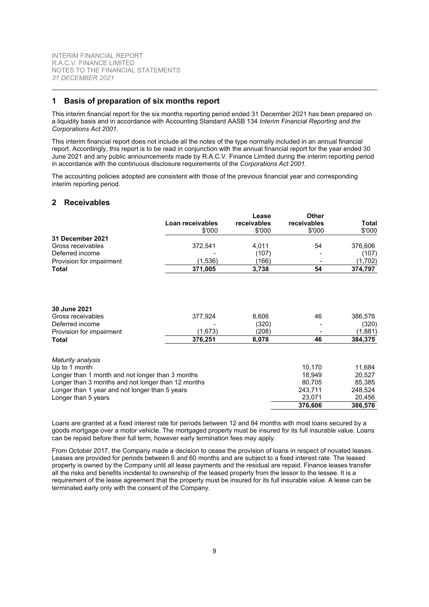#### <span id="page-10-0"></span>**1 Basis of preparation of six months report**

This interim financial report for the six months reporting period ended 31 December 2021 has been prepared on a liquidity basis and in accordance with Accounting Standard AASB 134 *Interim Financial Reporting and the Corporations Act 2001*.

This interim financial report does not include all the notes of the type normally included in an annual financial report. Accordingly, this report is to be read in conjunction with the annual financial report for the year ended 30 June 2021 and any public announcements made by R.A.C.V. Finance Limited during the interim reporting period in accordance with the continuous disclosure requirements of the *Corporations Act 2001*.

<span id="page-10-1"></span>The accounting policies adopted are consistent with those of the previous financial year and corresponding interim reporting period.

# **2 Receivables**

|                                                                                           |                               | Lease                            | <b>Other</b> |                                        |
|-------------------------------------------------------------------------------------------|-------------------------------|----------------------------------|--------------|----------------------------------------|
|                                                                                           | Loan receivables              | receivables                      | receivables  | <b>Total</b>                           |
|                                                                                           | \$'000                        | \$'000                           | \$'000       | \$'000                                 |
| 31 December 2021                                                                          |                               |                                  |              |                                        |
| Gross receivables                                                                         | 372,541                       | 4,011                            | 54           | 376,606                                |
| Deferred income                                                                           |                               | (107)                            |              | (107)                                  |
| Provision for impairment                                                                  | (1,536)                       | (166)                            |              | (1,702)                                |
| Total                                                                                     | 371,005                       | 3,738                            | 54           | 374,797                                |
| 30 June 2021<br>Gross receivables<br>Deferred income<br>Provision for impairment<br>Total | 377,924<br>(1,673)<br>376,251 | 8,606<br>(320)<br>(208)<br>8,078 | 46<br>46     | 386,576<br>(320)<br>(1,881)<br>384,375 |
|                                                                                           |                               |                                  |              |                                        |
| Maturity analysis<br>Up to 1 month                                                        |                               |                                  | 10,170       | 11,684                                 |
| Longer than 1 month and not longer than 3 months                                          |                               |                                  | 18,949       | 20,527                                 |
| Longer than 3 months and not longer than 12 months                                        |                               |                                  | 80,705       | 85,385                                 |
| Longer than 1 year and not longer than 5 years                                            |                               |                                  | 243,711      | 248,524                                |
| Longer than 5 years                                                                       |                               |                                  | 23,071       | 20,456                                 |
|                                                                                           |                               |                                  | 376,606      | 386,576                                |

Loans are granted at a fixed interest rate for periods between 12 and 84 months with most loans secured by a goods mortgage over a motor vehicle. The mortgaged property must be insured for its full insurable value. Loans can be repaid before their full term, however early termination fees may apply.

From October 2017, the Company made a decision to cease the provision of loans in respect of novated leases. Leases are provided for periods between 6 and 60 months and are subject to a fixed interest rate. The leased property is owned by the Company until all lease payments and the residual are repaid. Finance leases transfer all the risks and benefits incidental to ownership of the leased property from the lessor to the lessee. It is a requirement of the lease agreement that the property must be insured for its full insurable value. A lease can be terminated early only with the consent of the Company.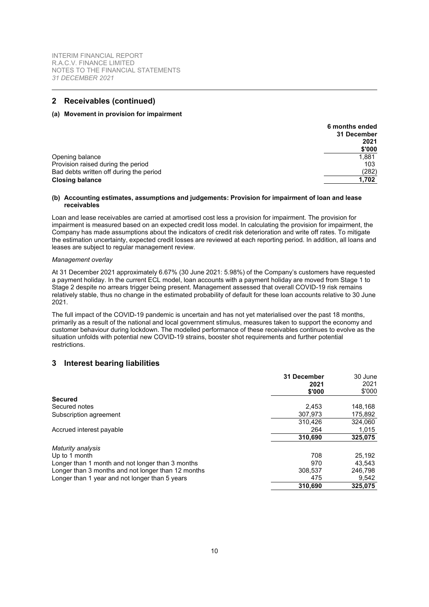INTERIM FINANCIAL REPORT R.A.C.V. FINANCE LIMITED NOTES TO THE FINANCIAL STATEMENTS *31 DECEMBER 2021*

#### **2 Receivables (continued)**

#### **(a) Movement in provision for impairment**

|                                         | 6 months ended<br>31 December<br>2021<br>\$'000 |
|-----------------------------------------|-------------------------------------------------|
| Opening balance                         | 1.881                                           |
| Provision raised during the period      | 103                                             |
| Bad debts written off during the period | (282)                                           |
| <b>Closing balance</b>                  | 1,702                                           |

#### **(b) Accounting estimates, assumptions and judgements: Provision for impairment of loan and lease receivables**

Loan and lease receivables are carried at amortised cost less a provision for impairment. The provision for impairment is measured based on an expected credit loss model. In calculating the provision for impairment, the Company has made assumptions about the indicators of credit risk deterioration and write off rates. To mitigate the estimation uncertainty, expected credit losses are reviewed at each reporting period. In addition, all loans and leases are subject to regular management review.

#### *Management overlay*

At 31 December 2021 approximately 6.67% (30 June 2021: 5.98%) of the Company's customers have requested a payment holiday. In the current ECL model, loan accounts with a payment holiday are moved from Stage 1 to Stage 2 despite no arrears trigger being present. Management assessed that overall COVID-19 risk remains relatively stable, thus no change in the estimated probability of default for these loan accounts relative to 30 June 2021.

The full impact of the COVID-19 pandemic is uncertain and has not yet materialised over the past 18 months, primarily as a result of the national and local government stimulus, measures taken to support the economy and customer behaviour during lockdown. The modelled performance of these receivables continues to evolve as the situation unfolds with potential new COVID-19 strains, booster shot requirements and further potential restrictions.

#### <span id="page-11-0"></span>**3 Interest bearing liabilities**

|                                                    | 31 December | 30 June |
|----------------------------------------------------|-------------|---------|
|                                                    | 2021        | 2021    |
|                                                    | \$'000      | \$'000  |
| <b>Secured</b>                                     |             |         |
| Secured notes                                      | 2.453       | 148,168 |
| Subscription agreement                             | 307,973     | 175,892 |
|                                                    | 310.426     | 324.060 |
| Accrued interest payable                           | 264         | 1,015   |
|                                                    | 310.690     | 325.075 |
| Maturity analysis                                  |             |         |
| Up to 1 month                                      | 708         | 25,192  |
| Longer than 1 month and not longer than 3 months   | 970         | 43.543  |
| Longer than 3 months and not longer than 12 months | 308,537     | 246,798 |
| Longer than 1 year and not longer than 5 years     | 475         | 9,542   |
|                                                    | 310.690     | 325,075 |
|                                                    |             |         |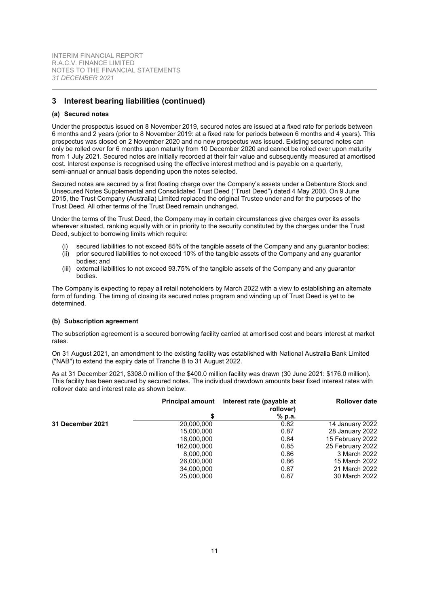INTERIM FINANCIAL REPORT R.A.C.V. FINANCE LIMITED NOTES TO THE FINANCIAL STATEMENTS *31 DECEMBER 2021*

### **3 Interest bearing liabilities (continued)**

#### **(a) Secured notes**

Under the prospectus issued on 8 November 2019, secured notes are issued at a fixed rate for periods between 6 months and 2 years (prior to 8 November 2019: at a fixed rate for periods between 6 months and 4 years). This prospectus was closed on 2 November 2020 and no new prospectus was issued. Existing secured notes can only be rolled over for 6 months upon maturity from 10 December 2020 and cannot be rolled over upon maturity from 1 July 2021. Secured notes are initially recorded at their fair value and subsequently measured at amortised cost. Interest expense is recognised using the effective interest method and is payable on a quarterly, semi-annual or annual basis depending upon the notes selected.

Secured notes are secured by a first floating charge over the Company's assets under a Debenture Stock and Unsecured Notes Supplemental and Consolidated Trust Deed ("Trust Deed") dated 4 May 2000. On 9 June 2015, the Trust Company (Australia) Limited replaced the original Trustee under and for the purposes of the Trust Deed. All other terms of the Trust Deed remain unchanged.

Under the terms of the Trust Deed, the Company may in certain circumstances give charges over its assets wherever situated, ranking equally with or in priority to the security constituted by the charges under the Trust Deed, subject to borrowing limits which require:

- secured liabilities to not exceed 85% of the tangible assets of the Company and any guarantor bodies;
- (ii) prior secured liabilities to not exceed 10% of the tangible assets of the Company and any guarantor bodies; and
- (iii) external liabilities to not exceed 93.75% of the tangible assets of the Company and any guarantor bodies.

The Company is expecting to repay all retail noteholders by March 2022 with a view to establishing an alternate form of funding. The timing of closing its secured notes program and winding up of Trust Deed is yet to be determined.

#### **(b) Subscription agreement**

The subscription agreement is a secured borrowing facility carried at amortised cost and bears interest at market rates.

On 31 August 2021, an amendment to the existing facility was established with National Australia Bank Limited ("NAB") to extend the expiry date of Tranche B to 31 August 2022.

As at 31 December 2021, \$308.0 million of the \$400.0 million facility was drawn (30 June 2021: \$176.0 million). This facility has been secured by secured notes. The individual drawdown amounts bear fixed interest rates with rollover date and interest rate as shown below:

|                  | <b>Principal amount</b> | Interest rate (payable at<br>rollover) | <b>Rollover date</b> |
|------------------|-------------------------|----------------------------------------|----------------------|
|                  |                         | $%$ p.a.                               |                      |
| 31 December 2021 | 20,000,000              | 0.82                                   | 14 January 2022      |
|                  | 15,000,000              | 0.87                                   | 28 January 2022      |
|                  | 18.000.000              | 0.84                                   | 15 February 2022     |
|                  | 162.000.000             | 0.85                                   | 25 February 2022     |
|                  | 8,000,000               | 0.86                                   | 3 March 2022         |
|                  | 26,000,000              | 0.86                                   | 15 March 2022        |
|                  | 34,000,000              | 0.87                                   | 21 March 2022        |
|                  | 25.000.000              | 0.87                                   | 30 March 2022        |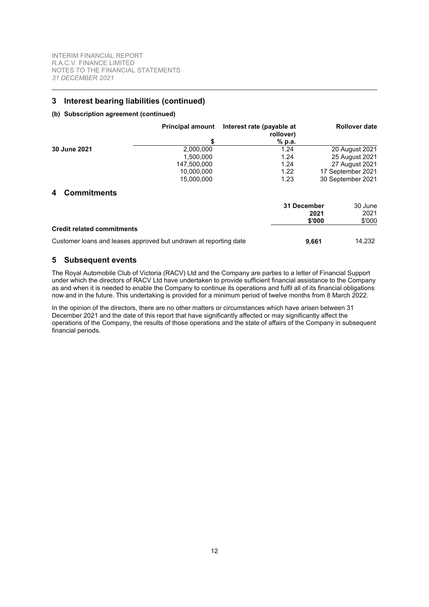### **3 Interest bearing liabilities (continued)**

#### **(b) Subscription agreement (continued)**

<span id="page-13-0"></span>

|                                   | <b>Principal amount</b> | Interest rate (payable at<br>rollover) |        | <b>Rollover date</b> |
|-----------------------------------|-------------------------|----------------------------------------|--------|----------------------|
|                                   | \$                      | % p.a.                                 |        |                      |
| 30 June 2021                      | 2,000,000               | 1.24                                   |        | 20 August 2021       |
|                                   | 1.500.000               | 1.24                                   |        | 25 August 2021       |
|                                   | 147,500,000             | 1.24                                   |        | 27 August 2021       |
|                                   | 10,000,000              | 1.22                                   |        | 17 September 2021    |
|                                   | 15.000.000              | 1.23                                   |        | 30 September 2021    |
| <b>Commitments</b><br>4           |                         |                                        |        |                      |
|                                   |                         | 31 December                            |        | 30 June              |
|                                   |                         |                                        | 2021   | 2021                 |
|                                   |                         |                                        | \$'000 | \$'000               |
| <b>Credit related commitments</b> |                         |                                        |        |                      |

<span id="page-13-1"></span>

| <u>UIGUILTEIALEU CUITIIIIIIIIEIILS</u>                           |       |        |
|------------------------------------------------------------------|-------|--------|
| Customer loans and leases approved but undrawn at reporting date | 9.661 | 14.232 |

# **5 Subsequent events**

The Royal Automobile Club of Victoria (RACV) Ltd and the Company are parties to a letter of Financial Support under which the directors of RACV Ltd have undertaken to provide sufficient financial assistance to the Company as and when it is needed to enable the Company to continue its operations and fulfil all of its financial obligations now and in the future. This undertaking is provided for a minimum period of twelve months from 8 March 2022.

In the opinion of the directors, there are no other matters or circumstances which have arisen between 31 December 2021 and the date of this report that have significantly affected or may significantly affect the operations of the Company, the results of those operations and the state of affairs of the Company in subsequent financial periods.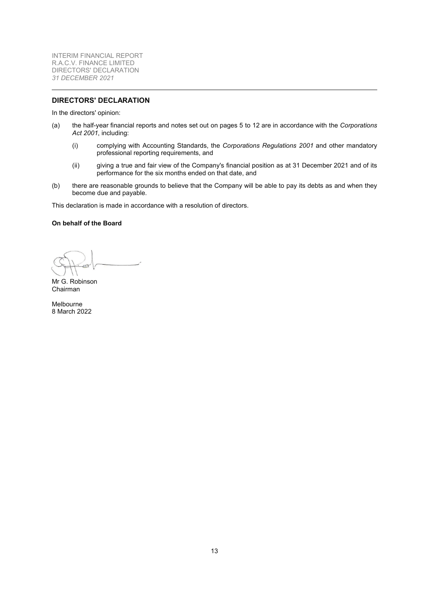INTERIM FINANCIAL REPORT R.A.C.V. FINANCE LIMITED DIRECTORS' DECLARATION *31 DECEMBER 2021*

### <span id="page-14-0"></span>**DIRECTORS' DECLARATION**

In the directors' opinion:

- (a) the half-year financial reports and notes set out on pages [5](#page-6-0) to [12](#page-13-1) are in accordance with the *Corporations Act 2001*, including:
	- (i) complying with Accounting Standards, the *Corporations Regulations 2001* and other mandatory professional reporting requirements, and
	- (ii) giving a true and fair view of the Company's financial position as at 31 December 2021 and of its performance for the six months ended on that date, and
- (b) there are reasonable grounds to believe that the Company will be able to pay its debts as and when they become due and payable.

This declaration is made in accordance with a resolution of directors.

#### **On behalf of the Board**

Mr G. Robinson Chairman

Melbourne 8 March 2022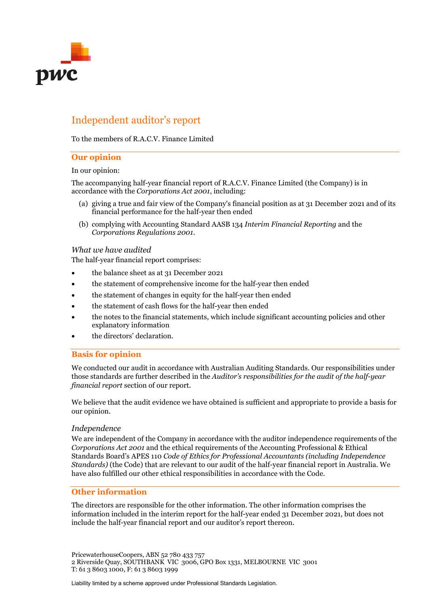

# Independent auditor's report

To the members of R.A.C.V. Finance Limited

# **Our opinion**

### In our opinion:

The accompanying half-year financial report of R.A.C.V. Finance Limited (the Company) is in accordance with the *Corporations Act 2001*, including:

- (a) giving a true and fair view of the Company's financial position as at 31 December 2021 and of its financial performance for the half-year then ended
- (b) complying with Accounting Standard AASB 134 *Interim Financial Reporting* and the *Corporations Regulations 2001*.

# *What we have audited*

The half-year financial report comprises:

- the balance sheet as at 31 December 2021
- the statement of comprehensive income for the half-year then ended
- the statement of changes in equity for the half-year then ended
- the statement of cash flows for the half-year then ended
- the notes to the financial statements, which include significant accounting policies and other explanatory information
- the directors' declaration.

# **Basis for opinion**

We conducted our audit in accordance with Australian Auditing Standards. Our responsibilities under those standards are further described in the *Auditor's responsibilities for the audit of the half-year financial report* section of our report.

We believe that the audit evidence we have obtained is sufficient and appropriate to provide a basis for our opinion.

# *Independence*

We are independent of the Company in accordance with the auditor independence requirements of the *Corporations Act 2001* and the ethical requirements of the Accounting Professional & Ethical Standards Board's APES 110 *Code of Ethics for Professional Accountants (including Independence Standards)* (the Code) that are relevant to our audit of the half-year financial report in Australia. We have also fulfilled our other ethical responsibilities in accordance with the Code.

# **Other information**

The directors are responsible for the other information. The other information comprises the information included in the interim report for the half-year ended 31 December 2021, but does not include the half-year financial report and our auditor's report thereon.

PricewaterhouseCoopers, ABN 52 780 433 757 2 Riverside Quay, SOUTHBANK VIC 3006, GPO Box 1331, MELBOURNE VIC 3001 T: 61 3 8603 1000, F: 61 3 8603 1999